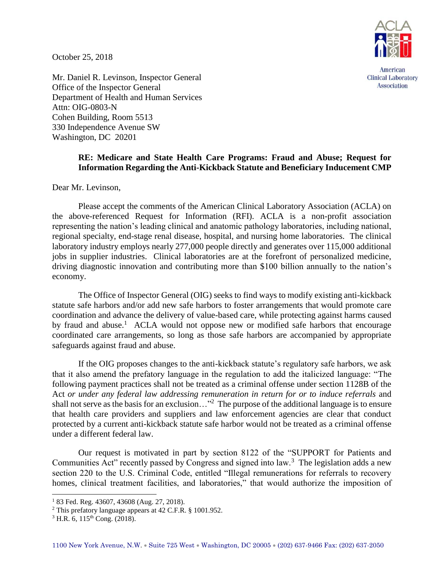October 25, 2018



American **Clinical Laboratory** Association

Mr. Daniel R. Levinson, Inspector General Office of the Inspector General Department of Health and Human Services Attn: OIG-0803-N Cohen Building, Room 5513 330 Independence Avenue SW Washington, DC 20201

## **RE: Medicare and State Health Care Programs: Fraud and Abuse; Request for Information Regarding the Anti-Kickback Statute and Beneficiary Inducement CMP**

Dear Mr. Levinson,

Please accept the comments of the American Clinical Laboratory Association (ACLA) on the above-referenced Request for Information (RFI). ACLA is a non-profit association representing the nation's leading clinical and anatomic pathology laboratories, including national, regional specialty, end-stage renal disease, hospital, and nursing home laboratories. The clinical laboratory industry employs nearly 277,000 people directly and generates over 115,000 additional jobs in supplier industries. Clinical laboratories are at the forefront of personalized medicine, driving diagnostic innovation and contributing more than \$100 billion annually to the nation's economy.

The Office of Inspector General (OIG) seeks to find ways to modify existing anti-kickback statute safe harbors and/or add new safe harbors to foster arrangements that would promote care coordination and advance the delivery of value-based care, while protecting against harms caused by fraud and abuse.<sup>1</sup> ACLA would not oppose new or modified safe harbors that encourage coordinated care arrangements, so long as those safe harbors are accompanied by appropriate safeguards against fraud and abuse.

If the OIG proposes changes to the anti-kickback statute's regulatory safe harbors, we ask that it also amend the prefatory language in the regulation to add the italicized language: "The following payment practices shall not be treated as a criminal offense under section 1128B of the Act *or under any federal law addressing remuneration in return for or to induce referrals* and shall not serve as the basis for an exclusion..."<sup>2</sup> The purpose of the additional language is to ensure that health care providers and suppliers and law enforcement agencies are clear that conduct protected by a current anti-kickback statute safe harbor would not be treated as a criminal offense under a different federal law.

Our request is motivated in part by section 8122 of the "SUPPORT for Patients and Communities Act" recently passed by Congress and signed into  $law<sup>3</sup>$ . The legislation adds a new section 220 to the U.S. Criminal Code, entitled "Illegal remunerations for referrals to recovery homes, clinical treatment facilities, and laboratories," that would authorize the imposition of

l

<sup>1</sup> 83 Fed. Reg. 43607, 43608 (Aug. 27, 2018).

<sup>2</sup> This prefatory language appears at 42 C.F.R. § 1001.952.

 $3$  H.R. 6, 115<sup>th</sup> Cong. (2018).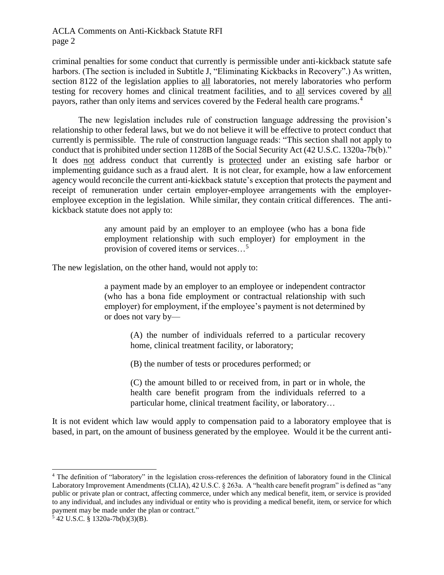## ACLA Comments on Anti-Kickback Statute RFI page 2

criminal penalties for some conduct that currently is permissible under anti-kickback statute safe harbors. (The section is included in Subtitle J, "Eliminating Kickbacks in Recovery".) As written, section 8122 of the legislation applies to all laboratories, not merely laboratories who perform testing for recovery homes and clinical treatment facilities, and to all services covered by all payors, rather than only items and services covered by the Federal health care programs.<sup>4</sup>

The new legislation includes rule of construction language addressing the provision's relationship to other federal laws, but we do not believe it will be effective to protect conduct that currently is permissible. The rule of construction language reads: "This section shall not apply to conduct that is prohibited under section 1128B of the Social Security Act (42 U.S.C. 1320a-7b(b)." It does not address conduct that currently is protected under an existing safe harbor or implementing guidance such as a fraud alert. It is not clear, for example, how a law enforcement agency would reconcile the current anti-kickback statute's exception that protects the payment and receipt of remuneration under certain employer-employee arrangements with the employeremployee exception in the legislation. While similar, they contain critical differences. The antikickback statute does not apply to:

> any amount paid by an employer to an employee (who has a bona fide employment relationship with such employer) for employment in the provision of covered items or services…<sup>5</sup>

The new legislation, on the other hand, would not apply to:

a payment made by an employer to an employee or independent contractor (who has a bona fide employment or contractual relationship with such employer) for employment, if the employee's payment is not determined by or does not vary by—

(A) the number of individuals referred to a particular recovery home, clinical treatment facility, or laboratory;

(B) the number of tests or procedures performed; or

(C) the amount billed to or received from, in part or in whole, the health care benefit program from the individuals referred to a particular home, clinical treatment facility, or laboratory…

It is not evident which law would apply to compensation paid to a laboratory employee that is based, in part, on the amount of business generated by the employee. Would it be the current anti-

 $\overline{a}$ 

<sup>4</sup> The definition of "laboratory" in the legislation cross-references the definition of laboratory found in the Clinical Laboratory Improvement Amendments (CLIA), 42 U.S.C. § 263a. A "health care benefit program" is defined as "any public or private plan or contract, affecting commerce, under which any medical benefit, item, or service is provided to any individual, and includes any individual or entity who is providing a medical benefit, item, or service for which payment may be made under the plan or contract."

 $5$  42 U.S.C. § 1320a-7b(b)(3)(B).